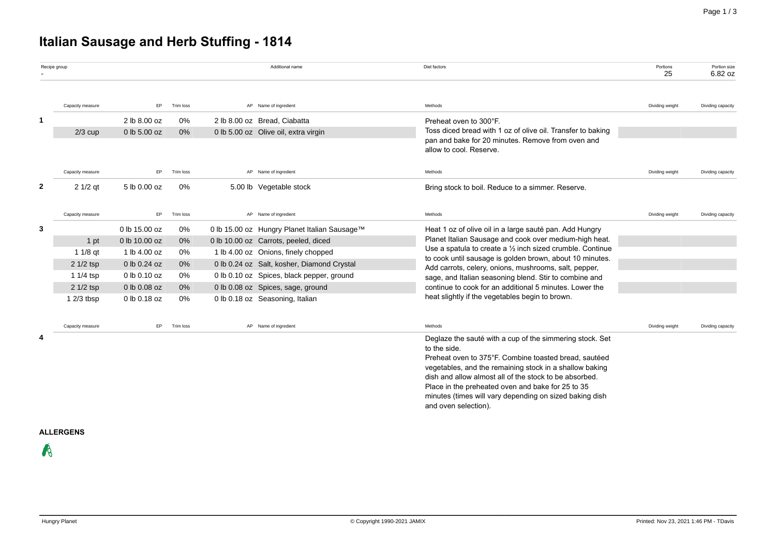# **Italian Sausage and Herb Stuffing - 1814**

| Recipe group |                  |                    |                                                  |  | Additional name                                                                                     | Diet factors                                                                                                                     | Portions<br>25  | Portion size<br>6.82 oz |
|--------------|------------------|--------------------|--------------------------------------------------|--|-----------------------------------------------------------------------------------------------------|----------------------------------------------------------------------------------------------------------------------------------|-----------------|-------------------------|
|              | Capacity measure | EP.                | Trim loss                                        |  | AP Name of ingredient                                                                               | Methods                                                                                                                          | Dividing weight | Dividing capacity       |
| 1            |                  | 2 lb 8.00 oz       | 0%                                               |  | 2 lb 8.00 oz Bread, Ciabatta                                                                        | Preheat oven to 300°F.                                                                                                           |                 |                         |
|              | $2/3$ cup        | 0 lb 5.00 oz       | 0%                                               |  | 0 lb 5.00 oz Olive oil, extra virgin                                                                | Toss diced bread with 1 oz of olive oil. Transfer to baking                                                                      |                 |                         |
|              |                  |                    |                                                  |  |                                                                                                     | pan and bake for 20 minutes. Remove from oven and<br>allow to cool. Reserve.                                                     |                 |                         |
|              | Capacity measure | EP.                | Trim loss                                        |  | AP Name of ingredient                                                                               | Methods                                                                                                                          | Dividing weight | Dividing capacity       |
| 2            | $21/2$ qt        | 5 lb 0.00 oz       | 0%                                               |  | 5.00 lb Vegetable stock                                                                             | Bring stock to boil. Reduce to a simmer. Reserve.                                                                                |                 |                         |
|              | Capacity measure | EP                 | Trim loss                                        |  | AP Name of ingredient                                                                               | Methods                                                                                                                          | Dividing weight | Dividing capacity       |
| 3            |                  | 0 lb 15.00 oz      | 0%                                               |  | 0 lb 15.00 oz Hungry Planet Italian Sausage™                                                        | Heat 1 oz of olive oil in a large sauté pan. Add Hungry                                                                          |                 |                         |
|              | 1 pt             | 0 lb 10.00 oz      | $0\%$                                            |  | 0 lb 10.00 oz Carrots, peeled, diced                                                                | Planet Italian Sausage and cook over medium-high heat.                                                                           |                 |                         |
|              | $11/8$ qt        | 1 lb 4.00 oz       | 0%                                               |  | 1 lb 4.00 oz Onions, finely chopped                                                                 | Use a spatula to create a $\frac{1}{2}$ inch sized crumble. Continue<br>to cook until sausage is golden brown, about 10 minutes. |                 |                         |
|              | $21/2$ tsp       | 0 lb 0.24 oz       | 0%<br>0 lb 0.24 oz Salt, kosher, Diamond Crystal |  |                                                                                                     | Add carrots, celery, onions, mushrooms, salt, pepper,                                                                            |                 |                         |
|              | 1 $1/4$ tsp      | 0 lb 0.10 oz<br>0% |                                                  |  | 0 lb 0.10 oz Spices, black pepper, ground<br>sage, and Italian seasoning blend. Stir to combine and |                                                                                                                                  |                 |                         |
|              | 2 1/2 tsp        | 0 lb 0.08 oz       | $0\%$                                            |  | 0 lb 0.08 oz Spices, sage, ground                                                                   | continue to cook for an additional 5 minutes. Lower the                                                                          |                 |                         |
|              | $12/3$ tbsp      | 0 lb 0.18 oz       | 0%                                               |  | 0 lb 0.18 oz Seasoning, Italian                                                                     | heat slightly if the vegetables begin to brown.                                                                                  |                 |                         |
|              | Capacity measure | EP                 | Trim loss                                        |  | AP Name of ingredient                                                                               | Methods                                                                                                                          | Dividing weight | Dividing capacity       |
| 4            |                  |                    |                                                  |  |                                                                                                     | Deglaze the sauté with a cup of the simmering stock. Set                                                                         |                 |                         |
|              |                  |                    |                                                  |  |                                                                                                     | to the side.<br>Preheat oven to 375°F. Combine toasted bread, sautéed                                                            |                 |                         |
|              |                  |                    |                                                  |  |                                                                                                     | vegetables, and the remaining stock in a shallow baking                                                                          |                 |                         |
|              |                  |                    |                                                  |  |                                                                                                     | dish and allow almost all of the stock to be absorbed.                                                                           |                 |                         |
|              |                  |                    |                                                  |  |                                                                                                     | Place in the preheated oven and bake for 25 to 35                                                                                |                 |                         |
|              |                  |                    |                                                  |  |                                                                                                     | minutes (times will vary depending on sized baking dish<br>and oven selection).                                                  |                 |                         |

### **ALLERGENS**

 $\mathcal{R}$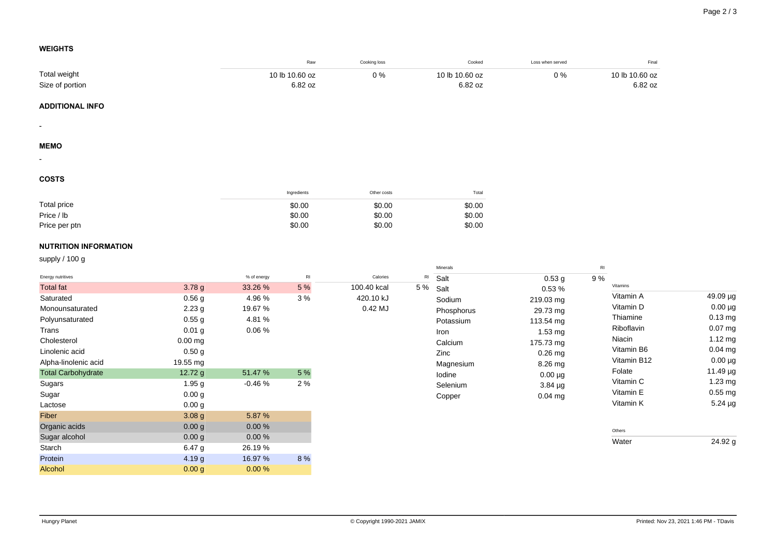$49.09 \mu g$  $0.00 \mu$ g  $0.13$  mg  $0.07$  mg  $1.12$  mg  $0.04$  mg  $0.00 \mu$ g  $11.49 \mu g$  $1.23$  mg  $0.55$  mg  $5.24 \mu g$ 

 $24.92 g$ 

## **WEIGHTS**

|                              |                   |             | Raw            | Cooking loss | Cooked                            | Loss when served  | Final               |
|------------------------------|-------------------|-------------|----------------|--------------|-----------------------------------|-------------------|---------------------|
| Total weight                 |                   |             | 10 lb 10.60 oz | 0%           | 10 lb 10.60 oz                    | $0\%$             | 10 lb 10.60 oz      |
| Size of portion              |                   |             | 6.82 oz        |              | 6.82 oz                           |                   | 6.82 oz             |
| <b>ADDITIONAL INFO</b>       |                   |             |                |              |                                   |                   |                     |
|                              |                   |             |                |              |                                   |                   |                     |
| $\overline{\phantom{a}}$     |                   |             |                |              |                                   |                   |                     |
| <b>MEMO</b>                  |                   |             |                |              |                                   |                   |                     |
|                              |                   |             |                |              |                                   |                   |                     |
| <b>COSTS</b>                 |                   |             |                |              |                                   |                   |                     |
|                              |                   |             | Ingredients    | Other costs  | Total                             |                   |                     |
| Total price                  |                   |             | \$0.00         | \$0.00       | \$0.00                            |                   |                     |
| Price / lb                   |                   |             | \$0.00         | \$0.00       | \$0.00                            |                   |                     |
| Price per ptn                |                   |             | \$0.00         | \$0.00       | \$0.00                            |                   |                     |
| <b>NUTRITION INFORMATION</b> |                   |             |                |              |                                   |                   |                     |
| supply / 100 g               |                   |             |                |              |                                   |                   |                     |
| Energy nutritives            |                   | % of energy | $\mathsf{R}$   | Calories     | Minerals<br>$\mathsf{RI}$<br>Salt | 0.53 <sub>g</sub> | $\mathsf{RI}$<br>9% |
| <b>Total fat</b>             | 3.78 g            | 33.26 %     | 5 %            | 100.40 kcal  | 5 %<br>Salt                       | 0.53%             | Vitamins            |
| Saturated                    | 0.56 <sub>g</sub> | 4.96%       | 3%             | 420.10 kJ    | Sodium                            | 219.03 mg         | Vitamin A           |
| Monounsaturated              | 2.23g             | 19.67 %     |                | 0.42 MJ      | Phosphorus                        | 29.73 mg          | Vitamin D           |
| Polyunsaturated              | 0.55g             | 4.81%       |                |              | Potassium                         | 113.54 mg         | Thiamine            |
| Trans                        | 0.01 <sub>g</sub> | 0.06%       |                |              | Iron                              | 1.53 mg           | Riboflavin          |
| Cholesterol                  | $0.00$ mg         |             |                |              | Calcium                           | 175.73 mg         | Niacin              |
| Linolenic acid               | 0.50 <sub>g</sub> |             |                |              | Zinc                              | $0.26$ mg         | Vitamin B6          |
| Alpha-linolenic acid         | 19.55 mg          |             |                |              | Magnesium                         | 8.26 mg           | Vitamin B12         |
| <b>Total Carbohydrate</b>    | 12.72 g           | 51.47 %     | $5%$           |              | lodine                            | $0.00 \mu g$      | Folate              |
| Sugars                       | 1.95 <sub>g</sub> | $-0.46%$    | 2 %            |              | Selenium                          | $3.84 \mu g$      | Vitamin C           |
| Sugar                        | 0.00 <sub>g</sub> |             |                |              | Copper                            | 0.04 mg           | Vitamin E           |
| Lactose                      | 0.00 <sub>g</sub> |             |                |              |                                   |                   | Vitamin K           |
| Fiber                        | 3.08 <sub>g</sub> | 5.87 %      |                |              |                                   |                   |                     |
| Organic acids                | 0.00 <sub>g</sub> | $0.00\,\%$  |                |              |                                   |                   |                     |
| Sugar alcohol                | 0.00 <sub>g</sub> | 0.00%       |                |              |                                   |                   | Others              |
| Starch                       | 6.47 g            | 26.19%      |                |              |                                   |                   | Water               |
| Protein                      | 4.19 g            | 16.97 %     | 8 %            |              |                                   |                   |                     |

Alcohol 0.00 g 0.00 %